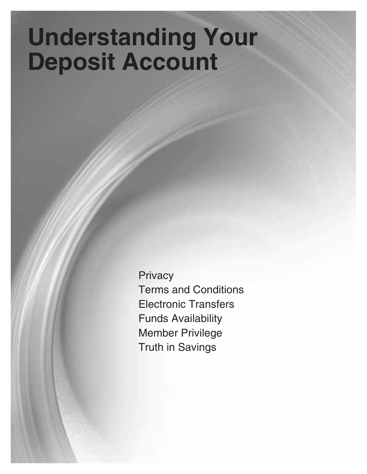# **Understanding Your Deposit Account**

**Privacy** Terms and Conditions Electronic Transfers Funds Availability Member Privilege Truth in Savings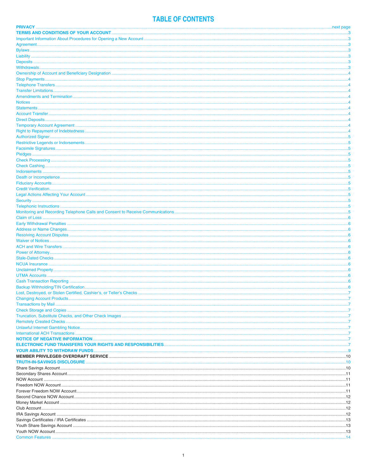# **TABLE OF CONTENTS**

| .3         |
|------------|
| . . 3      |
| $\ldots$ 3 |
|            |
|            |
|            |
|            |
|            |
|            |
|            |
|            |
|            |
|            |
|            |
|            |
|            |
|            |
|            |
|            |
|            |
|            |
|            |
|            |
|            |
|            |
| 5          |
|            |
|            |
|            |
|            |
|            |
|            |
|            |
|            |
|            |
|            |
|            |
|            |
|            |
|            |
|            |
|            |
|            |
|            |
|            |
|            |
|            |
|            |
|            |
|            |
|            |
|            |
|            |
|            |
|            |
|            |
|            |
|            |
|            |
|            |
|            |
|            |
|            |
|            |
|            |
|            |
|            |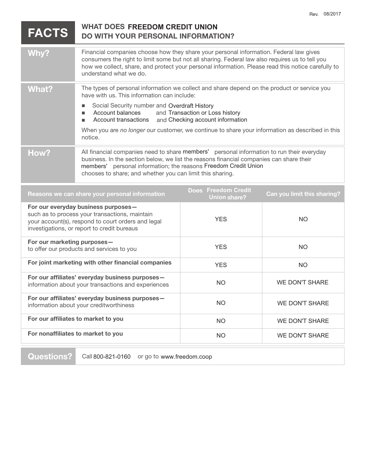| <b>FACTS</b>                                                                                                                                                                               | <b>WHAT DOES FREEDOM CREDIT UNION</b><br>DO WITH YOUR PERSONAL INFORMATION?                                                                                                                                                                                                                                               |                                            |                             |
|--------------------------------------------------------------------------------------------------------------------------------------------------------------------------------------------|---------------------------------------------------------------------------------------------------------------------------------------------------------------------------------------------------------------------------------------------------------------------------------------------------------------------------|--------------------------------------------|-----------------------------|
| Why?                                                                                                                                                                                       | Financial companies choose how they share your personal information. Federal law gives<br>consumers the right to limit some but not all sharing. Federal law also requires us to tell you<br>how we collect, share, and protect your personal information. Please read this notice carefully to<br>understand what we do. |                                            |                             |
| <b>What?</b>                                                                                                                                                                               | The types of personal information we collect and share depend on the product or service you<br>have with us. This information can include:                                                                                                                                                                                |                                            |                             |
|                                                                                                                                                                                            | Social Security number and Overdraft History<br>$\blacksquare$<br>Account balances<br>and Transaction or Loss history<br>п<br><b>Account transactions</b><br>and Checking account information<br>٠                                                                                                                        |                                            |                             |
|                                                                                                                                                                                            | When you are no longer our customer, we continue to share your information as described in this<br>notice.                                                                                                                                                                                                                |                                            |                             |
| How?                                                                                                                                                                                       | All financial companies need to share members' personal information to run their everyday<br>business. In the section below, we list the reasons financial companies can share their<br>members' personal information; the reasons Freedom Credit Union<br>chooses to share; and whether you can limit this sharing.      |                                            |                             |
|                                                                                                                                                                                            | Reasons we can share your personal information                                                                                                                                                                                                                                                                            | Does Freedom Credit<br><b>Union share?</b> | Can you limit this sharing? |
| For our everyday business purposes-<br>such as to process your transactions, maintain<br>your account(s), respond to court orders and legal<br>investigations, or report to credit bureaus |                                                                                                                                                                                                                                                                                                                           | <b>YES</b>                                 | <b>NO</b>                   |
| For our marketing purposes-<br>to offer our products and services to you                                                                                                                   |                                                                                                                                                                                                                                                                                                                           | <b>YES</b>                                 | <b>NO</b>                   |
| For joint marketing with other financial companies                                                                                                                                         |                                                                                                                                                                                                                                                                                                                           | <b>YES</b>                                 | <b>NO</b>                   |
|                                                                                                                                                                                            | For our affiliates' everyday business purposes-<br>information about your transactions and experiences                                                                                                                                                                                                                    | <b>NO</b>                                  | <b>WE DON'T SHARE</b>       |
|                                                                                                                                                                                            | For our affiliates' everyday business purposes-<br>information about your creditworthiness                                                                                                                                                                                                                                | <b>NO</b>                                  | <b>WE DON'T SHARE</b>       |
|                                                                                                                                                                                            | For our affiliates to market to you                                                                                                                                                                                                                                                                                       | <b>NO</b>                                  | <b>WE DON'T SHARE</b>       |
|                                                                                                                                                                                            | For nonaffiliates to market to you                                                                                                                                                                                                                                                                                        | <b>NO</b>                                  | <b>WE DON'T SHARE</b>       |

Rev. 08/2017

**Questions?** Call 800-821-0160 or go to www.freedom.coop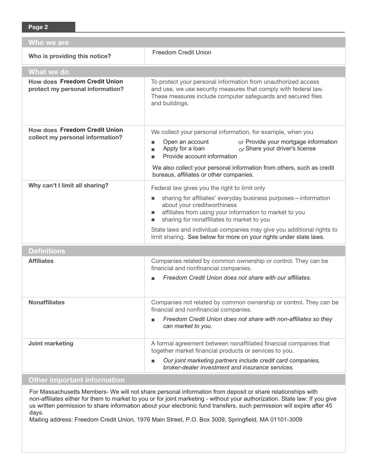| Who we are                                                               |                                                                                                                                                                                                                    |  |  |  |  |
|--------------------------------------------------------------------------|--------------------------------------------------------------------------------------------------------------------------------------------------------------------------------------------------------------------|--|--|--|--|
| Who is providing this notice?                                            | <b>Freedom Credit Union</b>                                                                                                                                                                                        |  |  |  |  |
| What we do                                                               |                                                                                                                                                                                                                    |  |  |  |  |
| <b>How does Freedom Credit Union</b><br>protect my personal information? | To protect your personal information from unauthorized access<br>and use, we use security measures that comply with federal law.<br>These measures include computer safeguards and secured files<br>and buildings. |  |  |  |  |
| <b>How does Freedom Credit Union</b>                                     | We collect your personal information, for example, when you                                                                                                                                                        |  |  |  |  |
| collect my personal information?                                         | Open an account<br>or Provide your mortgage information<br>Apply for a loan<br>or Share your driver's license<br>ш<br>Provide account information<br>ш                                                             |  |  |  |  |
|                                                                          | We also collect your personal information from others, such as credit<br>bureaus, affiliates or other companies.                                                                                                   |  |  |  |  |
| Why can't I limit all sharing?                                           | Federal law gives you the right to limit only                                                                                                                                                                      |  |  |  |  |
|                                                                          | sharing for affiliates' everyday business purposes-information<br>about your creditworthiness<br>affiliates from using your information to market to you<br>sharing for nonaffiliates to market to you             |  |  |  |  |
|                                                                          | State laws and individual companies may give you additional rights to<br>limit sharing. See below for more on your rights under state laws.                                                                        |  |  |  |  |
| <b>Definitions</b>                                                       |                                                                                                                                                                                                                    |  |  |  |  |
| <b>Affiliates</b>                                                        | Companies related by common ownership or control. They can be<br>financial and nonfinancial companies.                                                                                                             |  |  |  |  |
|                                                                          | Freedom Credit Union does not share with our affiliates.                                                                                                                                                           |  |  |  |  |
| <b>Nonaffiliates</b>                                                     | Companies not related by common ownership or control. They can be<br>financial and nonfinancial companies.                                                                                                         |  |  |  |  |
|                                                                          | Freedom Credit Union does not share with non-affiliates so they<br>can market to you.                                                                                                                              |  |  |  |  |
| Joint marketing                                                          | A formal agreement between nonaffiliated financial companies that<br>together market financial products or services to you.                                                                                        |  |  |  |  |
|                                                                          | Our joint marketing partners include credit card companies,<br>■<br>broker-dealer investment and insurance services.                                                                                               |  |  |  |  |

# **Other important information**

For Massachusetts Members- We will not share personal information from deposit or share relationships with non-affiliates either for them to market to you or for joint marketing - without your authorization. State law: If you give us written permission to share information about your electronic fund transfers, such permission will expire after 45 days.

Mailing address: Freedom Credit Union, 1976 Main Street, P.O. Box 3009, Springfield, MA 01101-3009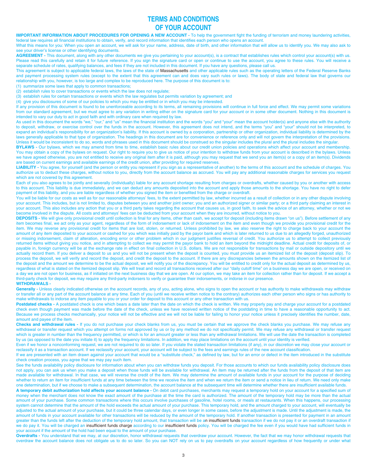# **TERMS AND CONDITIONS OF YOUR ACCOUNT**

**IMPORTANT INFORMATION ABOUT PROCEDURES FOR OPENING A NEW ACCOUNT -** To help the government fight the funding of terrorism and money laundering activities, federal law requires all financial institutions to obtain, verify, and record information that identifies each person who opens an account.

What this means for you: When you open an account, we will ask for your name, address, date of birth, and other information that will allow us to identify you. We may also ask to see your driver's license or other identifying documents.

**AGREEMENT -** This document, along with any other documents we give you pertaining to your account(s), is a contract that establishes rules which control your account(s) with us. Please read this carefully and retain it for future reference. If you sign the signature card or open or continue to use the account, you agree to these rules. You will receive a separate schedule of rates, qualifying balances, and fees if they are not included in this document. If you have any questions, please call us.

This agreement is subject to applicable federal laws, the laws of the state of Massachusetts and other applicable rules such as the operating letters of the Federal Reserve Banks and payment processing system rules (except to the extent that this agreement can and does vary such rules or laws). The body of state and federal law that governs our relationship with you, however, is too large and complex to be reproduced here. The purpose of this document is to:

(1) summarize some laws that apply to common transactions;

(2) establish rules to cover transactions or events which the law does not regulate;

(3) establish rules for certain transactions or events which the law regulates but permits variation by agreement; and

(4) give you disclosures of some of our policies to which you may be entitled or in which you may be interested.

If any provision of this document is found to be unenforceable according to its terms, all remaining provisions will continue in full force and effect. We may permit some variations from our standard agreement, but we must agree to any variation in writing either on the signature card for your account or in some other document. Nothing in this document is intended to vary our duty to act in good faith and with ordinary care when required by law.

As used in this document the words "we," "our," and "us" mean the financial institution and the words "you" and "your" mean the account holder(s) and anyone else with the authority to deposit, withdraw, or exercise control over the funds in the account. However, this agreement does not intend, and the terms "you" and "your" should not be interpreted, to expand an individual's responsibility for an organization's liability. If this account is owned by a corporation, partnership or other organization, individual liability is determined by the laws generally applicable to that type of organization. The headings in this document are for convenience or reference only and will not govern the interpretation of the provisions. Unless it would be inconsistent to do so, words and phrases used in this document should be construed so the singular includes the plural and the plural includes the singular.

**BYLAWS -** Our bylaws, which we may amend from time to time, establish basic rules about our credit union policies and operations which affect your account and membership. You may obtain a copy of the bylaws on request. Our right to require you to give us notice of your intention to withdraw funds from your account is described in the bylaws. Unless we have agreed otherwise, you are not entitled to receive any original item after it is paid, although you may request that we send you an item(s) or a copy of an item(s). Dividends are based on current earnings and available earnings of the credit union, after providing for required reserves.

LIABILITY - You agree, for yourself (and the person or entity you represent if you sign as a representative of another) to the terms of this account and the schedule of charges. You authorize us to deduct these charges, without notice to you, directly from the account balance as accrued. You will pay any additional reasonable charges for services you request which are not covered by this agreement.

Each of you also agrees to be jointly and severally (individually) liable for any account shortage resulting from charges or overdrafts, whether caused by you or another with access to this account. This liability is due immediately, and we can deduct any amounts deposited into the account and apply those amounts to the shortage. You have no right to defer payment of this liability, and you are liable regardless of whether you signed the item or benefited from the charge or overdraft.

You will be liable for our costs as well as for our reasonable attorneys' fees, to the extent permitted by law, whether incurred as a result of collection or in any other dispute involving your account. This includes, but is not limited to, disputes between you and another joint owner; you and an authorized signer or similar party; or a third party claiming an interest in your account. This also includes any action that you or a third party takes regarding the account that causes us, in good faith, to seek the advice of an attorney, whether or not we become involved in the dispute. All costs and attorneys' fees can be deducted from your account when they are incurred, without notice to you.

**DEPOSITS -** We will give only provisional credit until collection is final for any items, other than cash, we accept for deposit (including items drawn "on us"). Before settlement of any item becomes final, we act only as your agent, regardless of the form of indorsement or lack of indorsement on the item and even though we provide you provisional credit for the item. We may reverse any provisional credit for items that are lost, stolen, or returned. Unless prohibited by law, we also reserve the right to charge back to your account the amount of any item deposited to your account or cashed for you which was initially paid by the payor bank and which is later returned to us due to an allegedly forged, unauthorized or missing indorsement, claim of alteration, encoding error or other problem which in our judgment justifies reversal of credit. You authorize us to attempt to collect previously returned items without giving you notice, and in attempting to collect we may permit the payor bank to hold an item beyond the midnight deadline. Actual credit for deposits of, or payable in, foreign currency will be at the exchange rate in effect on final collection in U.S. dollars. We are not responsible for transactions by mail or outside depository until we actually record them. If you deliver a deposit to us and you will not be present when the deposit is counted, you must provide us an itemized list of the deposit (deposit slip). To process the deposit, we will verify and record the deposit, and credit the deposit to the account. If there are any discrepancies between the amounts shown on the itemized list of the deposit and the amount we determine to be the actual deposit, we will notify you of the discrepancy. You will be entitled to credit only for the actual deposit as determined by us, regardless of what is stated on the itemized deposit slip. We will treat and record all transactions received after our "daily cutoff time" on a business day we are open, or received on a day we are not open for business, as if initiated on the next business day that we are open. At our option, we may take an item for collection rather than for deposit. If we accept a third-party check for deposit, we may require any third-party indorsers to verify or guarantee their indorsements, or indorse in our presence.

## **WITHDRAWALS -**

Generally - Unless clearly indicated otherwise on the account records, any of you, acting alone, who signs to open the account or has authority to make withdrawals may withdraw or transfer all or any part of the account balance at any time. Each of you (until we receive written notice to the contrary) authorizes each other person who signs or has authority to make withdrawals to indorse any item payable to you or your order for deposit to this account or any other transaction with us.

**Postdated checks -** A postdated check is one which bears a date later than the date on which the check is written. We may properly pay and charge your account for a postdated check even though payment was made before the date of the check, unless we have received written notice of the postdating in time to have a reasonable opportunity to act. Because we process checks mechanically, your notice will not be effective and we will not be liable for failing to honor your notice unless it precisely identifies the number, date, amount and payee of the item.

**Checks and withdrawal rules -** If you do not purchase your check blanks from us, you must be certain that we approve the check blanks you purchase. We may refuse any withdrawal or transfer request which you attempt on forms not approved by us or by any method we do not specifically permit. We may refuse any withdrawal or transfer request which is greater in number than the frequency permitted, or which is for an amount greater or less than any withdrawal limitations. We will use the date the transaction is completed by us (as opposed to the date you initiate it) to apply the frequency limitations. In addition, we may place limitations on the account until your identity is verified.

Even if we honor a nonconforming request, we are not required to do so later. If you violate the stated transaction limitations (if any), in our discretion we may close your account or reclassify it as a transaction account. If we reclassify your account, your account will be subject to the fees and earnings rules of the new account classification.

If we are presented with an item drawn against your account that would be a "substitute check," as defined by law, but for an error or defect in the item introduced in the substitute check creation process, you agree that we may pay such item.

See the funds availability policy disclosure for information about when you can withdraw funds you deposit. For those accounts to which our funds availability policy disclosure does not apply, you can ask us when you make a deposit when those funds will be available for withdrawal. An item may be returned after the funds from the deposit of that item are made available for withdrawal. In that case, we will reverse the credit of the item. We may determine the amount of available funds in your account for the purpose of deciding whether to return an item for insufficient funds at any time between the time we receive the item and when we return the item or send a notice in lieu of return. We need only make one determination, but if we choose to make a subsequent determination, the account balance at the subsequent time will determine whether there are insufficient available funds.

**A temporary debit authorization hold affects your account balance -** On debit card purchases, merchants may request a temporary hold on your account for a specified sum of money when the merchant does not know the exact amount of the purchase at the time the card is authorized. The amount of the temporary hold may be more than the actual amount of your purchase. Some common transactions where this occurs involve purchases of gasoline, hotel rooms, or meals at restaurants. When this happens, our processing system cannot determine that the amount of the hold exceeds the actual amount of your purchase. This temporary hold, and the amount charged to your account, will eventually be adjusted to the actual amount of your purchase, but it could be three calendar days, or even longer in some cases, before the adjustment is made. Until the adjustment is made, the amount of funds in your account available for other transactions will be reduced by the amount of the temporary hold. If another transaction is presented for payment in an amount greater than the funds left after the deduction of the temporary hold amount, that transaction will be an insufficient funds transaction if we do not pay it or an overdraft transaction if we do pay it. You will be charged an insufficient funds charge according to our insufficient funds policy. You will be charged the fee even if you would have had sufficient funds in your account if the amount of the hold had been equal to the amount of your purchase.

**Overdrafts -** You understand that we may, at our discretion, honor withdrawal requests that overdraw your account. However, the fact that we may honor withdrawal requests that overdraw the account balance does not obligate us to do so later. So you can NOT rely on us to pay overdrafts on your account regardless of how frequently or under what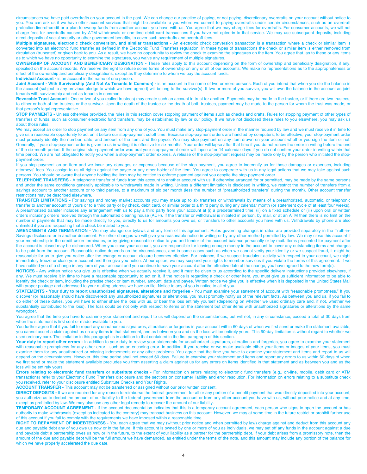circumstances we have paid overdrafts on your account in the past. We can change our practice of paying, or not paying, discretionary overdrafts on your account without notice to you. You can ask us if we have other account services that might be available to you where we commit to paying overdrafts under certain circumstances, such as an overdraft protection line-of-credit or a plan to sweep funds from another account you have with us. You agree that we may charge fees for overdrafts. For consumer accounts, we will not charge fees for overdrafts caused by ATM withdrawals or one-time debit card transactions if you have not opted-in to that service. We may use subsequent deposits, including direct deposits of social security or other government benefits, to cover such overdrafts and overdraft fees.

**Multiple signatures, electronic check conversion, and similar transactions -** An electronic check conversion transaction is a transaction where a check or similar item is converted into an electronic fund transfer as defined in the Electronic Fund Transfers regulation. In these types of transactions the check or similar item is either removed from circulation (truncated) or given back to you. As a result, we have no opportunity to review the check to examine the signatures on the item. You agree that, as to these or any items as to which we have no opportunity to examine the signatures, you waive any requirement of multiple signatures.

**OWNERSHIP OF ACCOUNT AND BENEFICIARY DESIGNATION -** These rules apply to this account depending on the form of ownership and beneficiary designation, if any, specified on the account records. We reserve the right to refuse some forms of ownership on any or all of our accounts. We make no representations as to the appropriateness or effect of the ownership and beneficiary designations, except as they determine to whom we pay the account funds. **Individual Account -** is an account in the name of one person.

Joint Account - With Survivorship (And Not As Tenants In Common) - is an account in the name of two or more persons. Each of you intend that when you die the balance in the account (subject to any previous pledge to which we have agreed) will belong to the survivor(s). If two or more of you survive, you will own the balance in the account as joint tenants with survivorship and not as tenants in common.

**Revocable Trust Account -** One or two of you (called trustees) may create such an account in trust for another. Payments may be made to the trustee, or if there are two trustees, to either or both of the trustees or the survivor. Upon the death of the trustee or the death of both trustees, payment may be made to the person for whom the trust was made, or that person's legal representative.

**STOP PAYMENTS -** Unless otherwise provided, the rules in this section cover stopping payment of items such as checks and drafts. Rules for stopping payment of other types of transfers of funds, such as consumer electronic fund transfers, may be established by law or our policy. If we have not disclosed these rules to you elsewhere, you may ask us about those rules.

We may accept an order to stop payment on any item from any one of you. You must make any stop-payment order in the manner required by law and we must receive it in time to give us a reasonable opportunity to act on it before our stop-payment cutoff time. Because stop-payment orders are handled by computers, to be effective, your stop-payment order must precisely identify the number, date, and amount of the item, and the payee. You may stop payment on any item drawn on your account whether you sign the item or not. Generally, if your stop-payment order is given to us in writing it is effective for six months. Your order will lapse after that time if you do not renew the order in writing before the end of the six-month period. If the original stop-payment order was oral your stop-payment order will lapse after 14 calendar days if you do not confirm your order in writing within that time period. We are not obligated to notify you when a stop-payment order expires. A release of the stop-payment request may be made only by the person who initiated the stoppayment order.

If you stop payment on an item and we incur any damages or expenses because of the stop payment, you agree to indemnify us for those damages or expenses, including attorneys' fees. You assign to us all rights against the payee or any other holder of the item. You agree to cooperate with us in any legal actions that we may take against such persons. You should be aware that anyone holding the item may be entitled to enforce payment against you despite the stop-payment order.

TELEPHONE TRANSFERS - A telephone transfer of funds from this account to another account with us, if otherwise arranged for or permitted, may be made by the same persons and under the same conditions generally applicable to withdrawals made in writing. Unless a different limitation is disclosed in writing, we restrict the number of transfers from a savings account to another account or to third parties, to a maximum of six per month (less the number of "preauthorized transfers" during the month). Other account transfer restrictions may be described elsewhere.

**TRANSFER LIMITATIONS -** For savings and money market accounts you may make up to six transfers or withdrawals by means of a preauthorized, automatic, or telephonic transfer to another account of yours or to a third party or by check, debit card, or similar order to a third party during any calendar month (or statement cycle of at least four weeks). A preauthorized transfer includes any arrangement with us to pay a third party from your account at (i) a predetermined time; (ii) on a fixed schedule or (iii) upon oral or written orders including orders received through the automated clearing house (ACH). If the transfer or withdrawal is initiated in person, by mail, or at an ATM then there is no limit on the number of payments that may be made directly to you, directly to us for amounts you owe us, or transfers to other accounts you have with us. Withdrawals by phone are also unlimited if you are requesting that a check be mailed to you.

**AMENDMENTS AND TERMINATION -** We may change our bylaws and any term of this agreement. Rules governing changes in rates are provided separately in the Truth-in-Savings disclosure or in another document. For other changes we will give you reasonable notice in writing or by any other method permitted by law. We may close this account if your membership in the credit union terminates, or by giving reasonable notice to you and tender of the account balance personally or by mail. Items presented for payment after the account is closed may be dishonored. When you close your account, you are responsible for leaving enough money in the account to cover any outstanding items and charges to be paid from the account. Reasonable notice depends on the circumstances, and in some cases such as when we cannot verify your identity or we suspect fraud, it might be reasonable for us to give you notice after the change or account closure becomes effective. For instance, if we suspect fraudulent activity with respect to your account, we might immediately freeze or close your account and then give you notice. At our option, we may suspend your rights to member services if you violate the terms of this agreement. If we have notified you of a change in any term of your account and you continue to have your account after the effective date of the change, you have agreed to the new term(s).

**NOTICES -** Any written notice you give us is effective when we actually receive it, and it must be given to us according to the specific delivery instructions provided elsewhere, if any. We must receive it in time to have a reasonable opportunity to act on it. If the notice is regarding a check or other item, you must give us sufficient information to be able to identify the check or item, including the precise check or item number, amount, date and payee. Written notice we give you is effective when it is deposited in the United States Mail with proper postage and addressed to your mailing address we have on file. Notice to any of you is notice to all of you.

**STATEMENTS - Your duty to report unauthorized signatures, alterations and forgeries -** You must examine your statement of account with "reasonable promptness." If you discover (or reasonably should have discovered) any unauthorized signatures or alterations, you must promptly notify us of the relevant facts. As between you and us, if you fail to do either of these duties, you will have to either share the loss with us, or bear the loss entirely yourself (depending on whether we used ordinary care and, if not, whether we substantially contributed to the loss). The loss could be not only with respect to items on the statement but other items with unauthorized signatures or alterations by the same wronadoer

You agree that the time you have to examine your statement and report to us will depend on the circumstances, but will not, in any circumstance, exceed a total of 30 days from when the statement is first sent or made available to you.

You further agree that if you fail to report any unauthorized signatures, alterations or forgeries in your account within 60 days of when we first send or make the statement available, you cannot assert a claim against us on any items in that statement, and as between you and us the loss will be entirely yours. This 60-day limitation is without regard to whether we used ordinary care. The limitation in this paragraph is in addition to that contained in the first paragraph of this section.

Your duty to report other errors - In addition to your duty to review your statements for unauthorized signatures, alterations and forgeries, you agree to examine your statement with reasonable promptness for any other error - such as an encoding error. In addition, if you receive or we make available either your items or images of your items, you must examine them for any unauthorized or missing indorsements or any other problems. You agree that the time you have to examine your statement and items and report to us will depend on the circumstances. However, this time period shall not exceed 60 days. Failure to examine your statement and items and report any errors to us within 60 days of when we first send or make the statement available precludes you from asserting a claim against us for any errors on items identified in that statement and as between you and us the loss will be entirely yours.

**Errors relating to electronic fund transfers or substitute checks -** For information on errors relating to electronic fund transfers (e.g., on-line, mobile, debit card or ATM transactions) refer to your Electronic Fund Transfers disclosure and the sections on consumer liability and error resolution. For information on errors relating to a substitute check you received, refer to your disclosure entitled Substitute Checks and Your Rights.

**ACCOUNT TRANSFER -** This account may not be transferred or assigned without our prior written consent.

**DIRECT DEPOSITS -** If we are required for any reason to reimburse the federal government for all or any portion of a benefit payment that was directly deposited into your account, you authorize us to deduct the amount of our liability to the federal government from the account or from any other account you have with us, without prior notice and at any time, except as prohibited by law. We may also use any other legal remedy to recover the amount of our liability.

**TEMPORARY ACCOUNT AGREEMENT** - If the account documentation indicates that this is a temporary account agreement, each person who signs to open the account or has authority to make withdrawals (except as indicated to the contrary) may transact business on this account. However, we may at some time in the future restrict or prohibit further use of this account if you fail to comply with the requirements we have imposed within a reasonable time.

**RIGHT TO REPAYMENT OF INDEBTEDNESS** - You each agree that we may (without prior notice and when permitted by law) charge against and deduct from this account any due and payable debt any of you owe us now or in the future. If this account is owned by one or more of you as individuals, we may set off any funds in the account against a due and payable debt a partnership owes us now or in the future, to the extent of your liability as a partner for the partnership debt. If your debt arises from a promissory note, then the amount of the due and payable debt will be the full amount we have demanded, as entitled under the terms of the note, and this amount may include any portion of the balance for which we have properly accelerated the due date.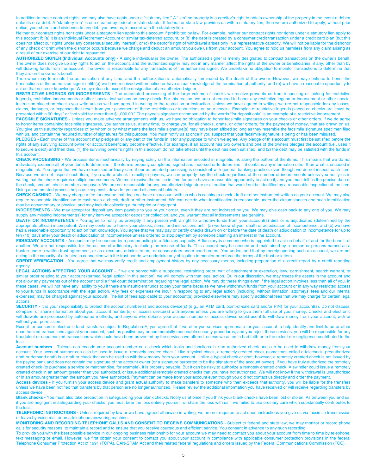In addition to these contract rights, we may also have rights under a "statutory lien." A "lien" on property is a creditor's right to obtain ownership of the property in the event a debtor defaults on a debt. A "statutory lien" is one created by federal or state statute. If federal or state law provides us with a statutory lien, then we are authorized to apply, without prior notice, your shares and dividends to any debt you owe us, in accord with the statutory lien.

Neither our contract rights nor rights under a statutory lien apply to this account if prohibited by law. For example, neither our contract rights nor rights under a statutory lien apply to this account if: (a) it is an Individual Retirement Account or similar tax-deferred account, or (b) the debt is created by a consumer credit transaction under a credit card plan (but this does not affect our rights under any consensual security interest), or (c) the debtor's right of withdrawal arises only in a representative capacity. We will not be liable for the dishonor of any check or draft when the dishonor occurs because we charge and deduct an amount you owe us from your account. You agree to hold us harmless from any claim arising as a result of our exercise of our right to repayment.

**AUTHORIZED SIGNER (Individual Accounts only) -** A single individual is the owner. The authorized signer is merely designated to conduct transactions on the owner's behalf. The owner does not give up any rights to act on the account, and the authorized signer may not in any manner affect the rights of the owner or beneficiaries, if any, other than by withdrawing funds from the account. The owner is responsible for any transactions of the authorized signer. We undertake no obligation to monitor transactions to determine that they are on the owner's behalf.

The owner may terminate the authorization at any time, and the authorization is automatically terminated by the death of the owner. However, we may continue to honor the transactions of the authorized signer until: (a) we have received written notice or have actual knowledge of the termination of authority, and (b) we have a reasonable opportunity to act on that notice or knowledge. We may refuse to accept the designation of an authorized signer.

**RESTRICTIVE LEGENDS OR INDORSEMENTS -** The automated processing of the large volume of checks we receive prevents us from inspecting or looking for restrictive legends, restrictive indorsements or other special instructions on every check. For this reason, we are not required to honor any restrictive legend or indorsement or other special instruction placed on checks you write unless we have agreed in writing to the restriction or instruction. Unless we have agreed in writing, we are not responsible for any losses, claims, damages, or expenses that result from your placement of these restrictions or instructions on your checks. Examples of restrictive legends placed on checks are "must be presented within 90 days" or "not valid for more than \$1,000.00." The payee's signature accompanied by the words "for deposit only" is an example of a restrictive indorsement.

**FACSIMILE SIGNATURES -** Unless you make advance arrangements with us, we have no obligation to honor facsimile signatures on your checks or other orders. If we do agree to honor items containing facsimile signatures, you authorize us, at any time, to charge you for all checks, drafts, or other orders, for the payment of money, that are drawn on us. You give us this authority regardless of by whom or by what means the facsimile signature(s) may have been affixed so long as they resemble the facsimile signature specimen filed with us, and contain the required number of signatures for this purpose. You must notify us at once if you suspect that your facsimile signature is being or has been misused.

**PLEDGES -** Each owner of this account may pledge all or any part of the funds in it for any purpose to which we agree. Any pledge of this account must first be satisfied before the rights of any surviving account owner or account beneficiary become effective. For example, if an account has two owners and one of the owners pledges the account (i.e., uses it to secure a debt) and then dies, (1) the surviving owner's rights in this account do not take effect until the debt has been satisfied, and (2) the debt may be satisfied with the funds in this account.

**CHECK PROCESSING -** We process items mechanically by relying solely on the information encoded in magnetic ink along the bottom of the items. This means that we do not individually examine all of your items to determine if the item is properly completed, signed and indorsed or to determine if it contains any information other than what is encoded in magnetic ink. You agree that we have exercised ordinary care if our automated processing is consistent with general banking practice, even though we do not inspect each item. Because we do not inspect each item, if you write a check to multiple payees, we can properly pay the check regardless of the number of indorsements unless you notify us in writing that the check requires multiple indorsements. We must receive the notice in time for us to have a reasonable opportunity to act on it, and you must tell us the precise date of the check, amount, check number and payee. We are not responsible for any unauthorized signature or alteration that would not be identified by a reasonable inspection of the item. Using an automated process helps us keep costs down for you and all account holders.

**CHECK CASHING -** We may charge a fee for anyone that does not have an account with us who is cashing a check, draft or other instrument written on your account. We may also require reasonable identification to cash such a check, draft or other instrument. We can decide what identification is reasonable under the circumstances and such identification may be documentary or physical and may include collecting a thumbprint or fingerprint.

**INDORSEMENTS -** We may accept for deposit any item payable to you or your order, even if they are not indorsed by you. We may give cash back to any one of you. We may supply any missing indorsement(s) for any item we accept for deposit or collection, and you warrant that all indorsements are genuine.

DEATH OR INCOMPETENCE - You agree to notify us promptly if any person with a right to withdraw funds from your account(s) dies or is adjudicated (determined by the appropriate official) incompetent. We may continue to honor your checks, items, and instructions until: (a) we know of your death or adjudication of incompetence, and (b) we have had a reasonable opportunity to act on that knowledge. You agree that we may pay or certify checks drawn on or before the date of death or adjudication of incompetence for up to ten (10) days after your death or adjudication of incompetence unless ordered to stop payment by someone claiming an interest in the account.

**FIDUCIARY ACCOUNTS -** Accounts may be opened by a person acting in a fiduciary capacity. A fiduciary is someone who is appointed to act on behalf of and for the benefit of another. We are not responsible for the actions of a fiduciary, including the misuse of funds. This account may be opened and maintained by a person or persons named as a trustee under a written trust agreement, or as executors, administrators, or conservators under court orders. You understand that by merely opening such an account, we are not acting in the capacity of a trustee in connection with the trust nor do we undertake any obligation to monitor or enforce the terms of the trust or letters.

**CREDIT VERIFICATION -** You agree that we may verify credit and employment history by any necessary means, including preparation of a credit report by a credit reporting agency.

LEGAL ACTIONS AFFECTING YOUR ACCOUNT - If we are served with a subpoena, restraining order, writ of attachment or execution, levy, garnishment, search warrant, or similar order relating to your account (termed "legal action" in this section), we will comply with that legal action. Or, in our discretion, we may freeze the assets in the account and not allow any payments out of the account until a final court determination regarding the legal action. We may do these things even if the legal action involves less than all of you. In these cases, we will not have any liability to you if there are insufficient funds to pay your items because we have withdrawn funds from your account or in any way restricted access to your funds in accordance with the legal action. Any fees or expenses we incur in responding to any legal action (including, without limitation, attorneys' fees and our internal expenses) may be charged against your account. The list of fees applicable to your account(s) provided elsewhere may specify additional fees that we may charge for certain legal actions.

SECURITY - It is your responsibility to protect the account number(s) and access device(s) (e.g., an ATM card, point-of-sale card and/or PIN) for your account(s). Do not discuss, compare, or share information about your account number(s) or access device(s) with anyone unless you are willing to give them full use of your money. Checks and electronic withdrawals are processed by automated methods, and anyone who obtains your account number or access device could use it to withdraw money from your account, with or without your permission.

Except for consumer electronic fund transfers subject to Regulation E, you agree that if we offer you services appropriate for your account to help identify and limit fraud or other unauthorized transactions against your account, such as positive pay or commercially reasonable security procedures, and you reject those services, you will be responsible for any fraudulent or unauthorized transactions which could have been prevented by the services we offered, unless we acted in bad faith or to the extent our negligence contributed to the loss.

**Account numbers -** Thieves can encode your account number on a check which looks and functions like an authorized check and can be used to withdraw money from your account. Your account number can also be used to issue a "remotely created check." Like a typical check, a remotely created check (sometimes called a telecheck, preauthorized draft or demand draft) is a draft or check that can be used to withdraw money from your account. Unlike a typical check or draft, however, a remotely created check is not issued by the paying bank and does not contain the signature of the account owner (or a signature purported to be the signature of the account owner). If you have truly authorized the remotely created check (to purchase a service or merchandise, for example), it is properly payable. But it can be risky to authorize a remotely created check. A swindler could issue a remotely created check in an amount greater than you authorized, or issue additional remotely created checks that you have not authorized. We will not know if the withdrawal is unauthorized or in an amount greater than the amount you have authorized. Payment can be made from your account even though you did not contact us directly and order the payment.

**Access devices -** If you furnish your access device and grant actual authority to make transfers to someone who then exceeds that authority, you will be liable for the transfers unless we have been notified that transfers by that person are no longer authorized. Please review the additional information you have received or will receive regarding transfers by access device.

**Blank checks -** You must also take precaution in safeguarding your blank checks. Notify us at once if you think your blank checks have been lost or stolen. As between you and us, if you are negligent in safeguarding your checks, you must bear the loss entirely yourself, or share the loss with us if we failed to use ordinary care which substantially contributes to the loss.

**TELEPHONIC INSTRUCTIONS -** Unless required by law or we have agreed otherwise in writing, we are not required to act upon instructions you give us via facsimile transmission or leave by voice mail or on a telephone answering machine.

**MONITORING AND RECORDING TELEPHONE CALLS AND CONSENT TO RECEIVE COMMUNICATIONS -** Subject to federal and state law, we may monitor or record phone calls for security reasons, to maintain a record and to ensure that you receive courteous and efficient service. You consent in advance to any such recording.

To provide you with the best possible service in our ongoing business relationship for your account we may need to contact you about your account from time to time by telephone, text messaging or email. However, we first obtain your consent to contact you about your account in compliance with applicable consumer protection provisions in the federal Telephone Consumer Protection Act of 1991 (TCPA), CAN-SPAM Act and their related federal regulations and orders issued by the Federal Communications Commission (FCC).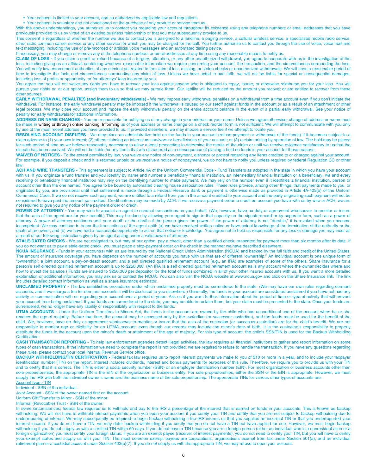- Your consent is limited to your account, and as authorized by applicable law and regulations.
- Your consent is voluntary and not conditioned on the purchase of any product or service from us.

With the above understandings, you authorize us to contact you regarding your account throughout its existence using any telephone numbers or email addresses that you have previously provided to us by virtue of an existing business relationship or that you may subsequently provide to us.

This consent is regardless of whether the number we use to contact you is assigned to a landline, a paging service, a cellular wireless service, a specialized mobile radio service, other radio common carrier service or any other service for which you may be charged for the call. You further authorize us to contact you through the use of voice, voice mail and text messaging, including the use of pre-recorded or artificial voice messages and an automated dialing device.

If necessary, you may change or remove any of the telephone numbers or email addresses at any time using any reasonable means to notify us.

**CLAIM OF LOSS -** If you claim a credit or refund because of a forgery, alteration, or any other unauthorized withdrawal, you agree to cooperate with us in the investigation of the loss, including giving us an affidavit containing whatever reasonable information we require concerning your account, the transaction, and the circumstances surrounding the loss. You will notify law enforcement authorities of any criminal act related to the claim of lost, missing, or stolen checks or unauthorized withdrawals. We will have a reasonable period of time to investigate the facts and circumstances surrounding any claim of loss. Unless we have acted in bad faith, we will not be liable for special or consequential damages, including loss of profits or opportunity, or for attorneys' fees incurred by you.

You agree that you will not waive any rights you have to recover your loss against anyone who is obligated to repay, insure, or otherwise reimburse you for your loss. You will pursue your rights or, at our option, assign them to us so that we may pursue them. Our liability will be reduced by the amount you recover or are entitled to recover from these other sources.

**EARLY WITHDRAWAL PENALTIES (and involuntary withdrawals) -** We may impose early withdrawal penalties on a withdrawal from a time account even if you don't initiate the withdrawal. For instance, the early withdrawal penalty may be imposed if the withdrawal is caused by our setoff against funds in the account or as a result of an attachment or other legal process. We may close your account and impose the early withdrawal penalty on the entire account balance in the event of a partial early withdrawal. See your notice of penalty for early withdrawals for additional information.

**ADDRESS OR NAME CHANGES -** You are responsible for notifying us of any change in your address or your name. Unless we agree otherwise, change of address or name must be made in writing or through online banking. Informing us of your address or name change on a check reorder form is not sufficient. We will attempt to communicate with you only by use of the most recent address you have provided to us. If provided elsewhere, we may impose a service fee if we attempt to locate you.

**RESOLVING ACCOUNT DISPUTES -** We may place an administrative hold on the funds in your account (refuse payment or withdrawal of the funds) if it becomes subject to a claim adverse to (1) your own interest; (2) others claiming an interest as survivors or beneficiaries of your account; or (3) a claim arising by operation of law. The hold may be placed for such period of time as we believe reasonably necessary to allow a legal proceeding to determine the merits of the claim or until we receive evidence satisfactory to us that the dispute has been resolved. We will not be liable for any items that are dishonored as a consequence of placing a hold on funds in your account for these reasons.

**WAIVER OF NOTICES -** To the extent permitted by law, you waive any notice of non-payment, dishonor or protest regarding any items credited to or charged against your account. For example, if you deposit a check and it is returned unpaid or we receive a notice of nonpayment, we do not have to notify you unless required by federal Regulation CC or other law.

ACH AND WIRE TRANSFERS - This agreement is subject to Article 4A of the Uniform Commercial Code - Fund Transfers as adopted in the state in which you have your account with us. If you originate a fund transfer and you identify by name and number a beneficiary financial institution, an intermediary financial institution or a beneficiary, we and every receiving or beneficiary financial institution may rely on the identifying number to make payment. We may rely on the number even if it identifies a financial institution, person or account other than the one named. You agree to be bound by automated clearing house association rules. These rules provide, among other things, that payments made to you, or originated by you, are provisional until final settlement is made through a Federal Reserve Bank or payment is otherwise made as provided in Article 4A-403(a) of the Uniform Commercial Code. If we do not receive such payment, we are entitled to a refund from you in the amount credited to your account and the party originating such payment will not be considered to have paid the amount so credited. Credit entries may be made by ACH. If we receive a payment order to credit an account you have with us by wire or ACH, we are not required to give you any notice of the payment order or credit.

POWER OF ATTORNEY - You may wish to appoint an agent to conduct transactions on your behalf. (We, however, have no duty or agreement whatsoever to monitor or insure that the acts of the agent are for your benefit.) This may be done by allowing your agent to sign in that capacity on the signature card or by separate form, such as a power of attorney. A power of attorney continues until your death or the death of the person given the power. If the power of attorney is not "durable," it is revoked when you become incompetent. We may continue to honor the transactions of the agent until: (a) we have received written notice or have actual knowledge of the termination of the authority or the death of an owner, and (b) we have had a reasonable opportunity to act on that notice or knowledge. You agree not to hold us responsible for any loss or damage you may incur as a result of our following instructions given by an agent acting under a valid power of attorney.

**STALE-DATED CHECKS -** We are not obligated to, but may at our option, pay a check, other than a certified check, presented for payment more than six months after its date. If you do not want us to pay a stale-dated check, you must place a stop-payment order on the check in the manner we have described elsewhere.

**NCUA INSURANCE -** Funds in your account(s) with us are insured by the National Credit Union Administration (NCUA) and backed by the full faith and credit of the United States. The amount of insurance coverage you have depends on the number of accounts you have with us that are of different "ownership." An individual account is one unique form of "ownership"; a joint account, a pay-on-death account, and a self directed qualified retirement account (e.g., an IRA) are examples of some of the others. Share insurance for a person's self directed qualified retirement account is up to \$250,000. (An IRA is a self directed qualified retirement account as is any account where the owner decides where and how to invest the balance.) Funds are insured to \$250,000 per depositor for the total of funds combined in all of your other insured accounts with us. If you want a more detailed explanation or additional information, you may ask us or contact the NCUA. You can also visit the NCUA website at www.ncua.gov and click on the Share Insurance link. The link includes detailed contact information as well as a share insurance estimator.

**UNCLAIMED PROPERTY -** The law establishes procedures under which unclaimed property must be surrendered to the state. (We may have our own rules regarding dormant accounts, and if we charge a fee for dormant accounts it will be disclosed to you elsewhere.) Generally, the funds in your account are considered unclaimed if you have not had any activity or communication with us regarding your account over a period of years. Ask us if you want further information about the period of time or type of activity that will prevent your account from being unclaimed. If your funds are surrendered to the state, you may be able to reclaim them, but your claim must be presented to the state. Once your funds are surrendered, we no longer have any liability or responsibility with respect to the funds.

**UTMA ACCOUNTS -** Under the Uniform Transfers to Minors Act, the funds in the account are owned by the child who has unconditional use of the account when he or she reaches the age of majority. Before that time, the account may be accessed only by the custodian (or successor custodian), and the funds must be used for the benefit of the child. We, however, have no duty or agreement whatsoever to monitor or insure that the acts of the custodian (or successor custodian) are for the child's benefit. We are not responsible to monitor age or eligibility for an UTMA account, even though our records may include the minor's date of birth. It is the custodian's responsibility to properly distribute the funds in the account upon the minor's death or attainment of the age of majority. For this type of account, the child's SSN/TIN is used for the Backup Withholding **Certification** 

**CASH TRANSACTION REPORTING -** To help law enforcement agencies detect illegal activities, the law requires all financial institutions to gather and report information on some types of cash transactions. If the information we need to complete the report is not provided, we are required to refuse to handle the transaction. If you have any questions regarding these rules, please contact your local Internal Revenue Service office.

**BACKUP WITHHOLDING/TIN CERTIFICATION -** Federal tax law requires us to report interest payments we make to you of \$10 or more in a year, and to include your taxpayer identification number (TIN) on the report. Interest includes dividends, interest and bonus payments for purposes of this rule. Therefore, we require you to provide us with your TIN and to certify that it is correct. The TIN is either a social security number (SSN) or an employer identification number (EIN). For most organization or business accounts other than sole proprietorships, the appropriate TIN is the EIN of the organization or business entity. For sole proprietorships, either the SSN or the EIN is appropriate. However, we must supply the IRS with both the individual owner's name and the business name of the sole proprietorship. The appropriate TINs for various other types of accounts are: Account type - TIN

Individual - SSN of the individual.

Joint Account - SSN of the owner named first on the account.

Uniform Gift/Transfer to Minor - SSN of the minor.

Informal (Revocable) Trust - SSN of the owner.

In some circumstances, federal law requires us to withhold and pay to the IRS a percentage of the interest that is earned on funds in your accounts. This is known as backup withholding. We will not have to withhold interest payments when you open your account if you certify your TIN and certify that you are not subject to backup withholding due to underreporting of interest. We may subsequently be required to begin backup withholding if the IRS informs us that you supplied an incorrect TIN or that you underreported your interest income. If you do not have a TIN, we may defer backup withholding if you certify that you do not have a TIN but have applied for one. However, we must begin backup withholding if you do not supply us with a certified TIN within 60 days. If you do not have a TIN because you are a foreign person (either an individual who is a nonresident alien or a foreign organization) you must certify your foreign status. If you are an exempt payee (receiver of interest payments), you do not need to certify your TIN, but you will have to certify your exempt status and supply us with your TIN. The most common exempt payees are corporations, organizations exempt from tax under Section 501(a), and an individual retirement plan or a custodial account under Section 403(b)(7). If you do not supply us with the appropriate TIN, we may refuse to open your account.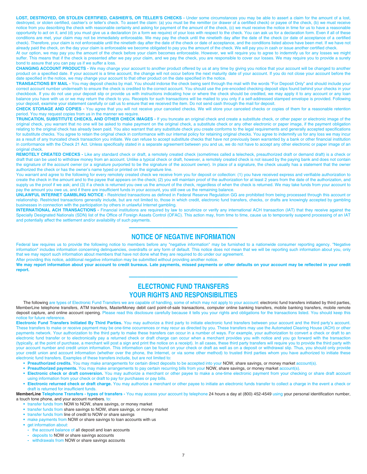**LOST, DESTROYED, OR STOLEN CERTIFIED, CASHIER'S, OR TELLER'S CHECKS -** Under some circumstances you may be able to assert a claim for the amount of a lost, destroyed, or stolen certified, cashier's or teller's check. To assert the claim: (a) you must be the remitter (or drawer of a certified check) or payee of the check, (b) we must receive notice from you describing the check with reasonable certainty and asking for payment of the amount of the check, (c) we must receive the notice in time for us to have a reasonable opportunity to act on it, and (d) you must give us a declaration (in a form we require) of your loss with respect to the check. You can ask us for a declaration form. Even if all of these conditions are met, your claim may not be immediately enforceable. We may pay the check until the ninetieth day after the date of the check (or date of acceptance of a certified check). Therefore, your claim is not enforceable until the ninetieth day after the date of the check or date of acceptance, and the conditions listed above have been met. If we have not already paid the check, on the day your claim is enforceable we become obligated to pay you the amount of the check. We will pay you in cash or issue another certified check.

At our option, we may pay you the amount of the check before your claim becomes enforceable. However, we will require you to agree to indemnify us for any losses we might suffer. This means that if the check is presented after we pay your claim, and we pay the check, you are responsible to cover our losses. We may require you to provide a surety bond to assure that you can pay us if we suffer a loss.

**CHANGING ACCOUNT PRODUCTS -** We may change your account to another product offered by us at any time by giving you notice that your account will be changed to another product on a specified date. If your account is a time account, the change will not occur before the next maturity date of your account. If you do not close your account before the date specified in the notice, we may change your account to that other product on the date specified in the notice.

**TRANSACTIONS BY MAIL -** You may deposit checks by mail. You should indorse the check being sent through the mail with the words "For Deposit Only" and should include your correct account number underneath to ensure the check is credited to the correct account. You should use the pre-encoded checking deposit slips found behind your checks in your checkbook. If you do not use your deposit slip or provide us with instructions indicating how or where the check should be credited, we may apply it to any account or any loan balance you have with us or we may return the check to you. Receipts for such transactions will be mailed to you only if a self-addressed stamped envelope is provided. Following your deposit, examine your statement carefully or call us to ensure that we received the item. Do not send cash through the mail for deposit.

**CHECK STORAGE AND COPIES -** You agree that you will not receive your canceled checks. We will store your canceled checks or copies of them for a reasonable retention period. You may request copies from us in the manner we require.

**TRUNCATION, SUBSTITUTE CHECKS, AND OTHER CHECK IMAGES -** If you truncate an original check and create a substitute check, or other paper or electronic image of the original check, you warrant that no one will be asked to make payment on the original check, a substitute check or any other electronic or paper image, if the payment obligation relating to the original check has already been paid. You also warrant that any substitute check you create conforms to the legal requirements and generally accepted specifications for substitute checks. You agree to retain the original check in conformance with our internal policy for retaining original checks. You agree to indemnify us for any loss we may incur as a result of any truncated check transaction you initiate. We can refuse to accept substitute checks that have not previously been warranted by a bank or other financial institution in conformance with the Check 21 Act. Unless specifically stated in a separate agreement between you and us, we do not have to accept any other electronic or paper image of an original check

REMOTELY CREATED CHECKS - Like any standard check or draft, a remotely created check (sometimes called a telecheck, preauthorized draft or demand draft) is a check or draft that can be used to withdraw money from an account. Unlike a typical check or draft, however, a remotely created check is not issued by the paying bank and does not contain the signature of the account owner (or a signature purported to be the signature of the account owner). In place of a signature, the check usually has a statement that the owner authorized the check or has the owner's name typed or printed on the signature line.

You warrant and agree to the following for every remotely created check we receive from you for deposit or collection: (1) you have received express and verifiable authorization to create the check in the amount and to the payee that appears on the check; (2) you will maintain proof of the authorization for at least 2 years from the date of the authorization, and supply us the proof if we ask; and (3) if a check is returned you owe us the amount of the check, regardless of when the check is returned. We may take funds from your account to pay the amount you owe us, and if there are insufficient funds in your account, you still owe us the remaining balance.

**UNLAWFUL INTERNET GAMBLING NOTICE -** Restricted transactions as defined in Federal Reserve Regulation GG are prohibited from being processed through this account or relationship. Restricted transactions generally include, but are not limited to, those in which credit, electronic fund transfers, checks, or drafts are knowingly accepted by gambling businesses in connection with the participation by others in unlawful Internet gambling.

**INTERNATIONAL ACH TRANSACTIONS -** Financial institutions are required by law to scrutinize or verify any international ACH transaction (IAT) that they receive against the Specially Designated Nationals (SDN) list of the Office of Foreign Assets Control (OFAC). This action may, from time to time, cause us to temporarily suspend processing of an IAT and potentially affect the settlement and/or availability of such payments.

# ————————————— **NOTICE OF NEGATIVE INFORMATION**

Federal law requires us to provide the following notice to members before any "negative information" may be furnished to a nationwide consumer reporting agency. "Negative information" includes information concerning delinquencies, overdrafts or any form of default. This notice does not mean that we will be reporting such information about you, only that we may report such information about members that have not done what they are required to do under our agreement.

After providing this notice, additional negative information may be submitted without providing another notice.

We may report information about your account to credit bureaus. Late payments, missed payments or other defaults on your account may be reflected in your credit **report.** —————————————

# **ELECTRONIC FUND TRANSFERS YOUR RIGHTS AND RESPONSIBILITIES**

The following are types of Electronic Fund Transfers we are capable of handling, some of which may not apply to your account: electronic fund transfers initiated by third parties, MemberLine telephone transfers, ATM transfers, MasterMoney debit card point-of-sale transactions, computer online banking transfers, mobile banking transfers, mobile benking transfers, mobile remote deposit capture, and online account opening. Please read this disclosure carefully because it tells you your rights and obligations for the transactions listed. You should keep this notice for future reference.

**Electronic Fund Transfers Initiated By Third Parties.** You may authorize a third party to initiate electronic fund transfers between your account and the third party's account. These transfers to make or receive payment may be one-time occurrences or may recur as directed by you. These transfers may use the Automated Clearing House (ACH) or other payments network. Your authorization to the third party to make these transfers can occur in a number of ways. For example, your authorization to convert a check or draft to an electronic fund transfer or to electronically pay a returned check or draft charge can occur when a merchant provides you with notice and you go forward with the transaction (typically, at the point of purchase, a merchant will post a sign and print the notice on a receipt). In all cases, these third party transfers will require you to provide the third party with your account number and credit union information. This information can be found on your check or draft as well as on a deposit or withdrawal slip. Thus, you should only provide your credit union and account information (whether over the phone, the Internet, or via some other method) to trusted third parties whom you have authorized to initiate these electronic fund transfers. Examples of these transfers include, but are not limited to:

- **Preauthorized credits.** You may make arrangements for certain direct deposits to be accepted into your NOW, share savings, or money market account(s).
- **Preauthorized payments.** You may make arrangements to pay certain recurring bills from your NOW, share savings, or money market account(s).
- **Electronic check or draft conversion.** You may authorize a merchant or other payee to make a one-time electronic payment from your checking or share draft account using information from your check or draft to pay for purchases or pay bills.
- **Electronic returned check or draft charge.** You may authorize a merchant or other payee to initiate an electronic funds transfer to collect a charge in the event a check or draft is returned for insufficient funds.

**MemberLine Telephone Transfers - types of transfers -** You may access your account by telephone 24 hours a day at (800) 452-4549 using your personal identification number, a touch tone phone, and your account numbers, to:

- **•** transfer funds from NOW to NOW, share savings, or money market
- **•** transfer funds from share savings to NOW, share savings, or money market
- **•** transfer funds from line of credit to NOW or share savings
- **•** make payments from NOW or share savings to loan accounts with us
- **•** get information about:
- the account balance of all deposit and loan accounts<br>- deposits to NOW or share savings accounts
- **-** deposits to NOW or share savings accounts
- **-** withdrawals from NOW or share savings accounts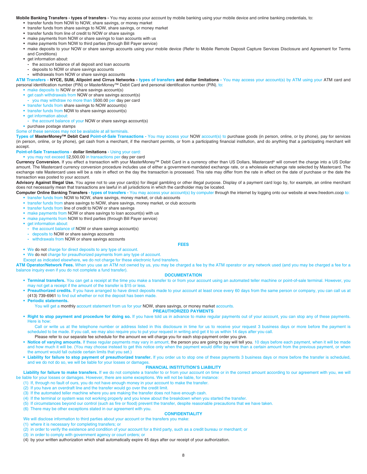### **Mobile Banking Transfers - types of transfers -** You may access your account by mobile banking using your mobile device and online banking credentials, to:

- **•** transfer funds from NOW to NOW, share savings, or money market
- **•** transfer funds from share savings to NOW, share savings, or money market
- **•** transfer funds from line of credit to NOW or share savings
- **•** make payments from NOW or share savings to loan accounts with us
- **•** make payments from NOW to third parties (through Bill Payer service)
- make deposits to your NOW or share savings accounts using your mobile device (Refer to Mobile Remote Deposit Capture Services Disclosure and Agreement for Terms and Conditions)
- **•** get information about:
	- **-** the account balance of all deposit and loan accounts
	- **-** deposits to NOW or share savings accounts
	- **-** withdrawals from NOW or share savings accounts

**ATM Transfers - NYCE, SUM, Allpoint and Cirrus Networks - types of transfers and dollar limitations -** You may access your account(s) by ATM using your ATM card and personal identification number (PIN) or MasterMoney™ Debit Card and personal identification number (PIN), to:

- **•** make deposits to NOW or share savings account(s)
- **•** get cash withdrawals from NOW or share savings account(s)
- **-** you may withdraw no more than \$500.00 per day per card
- **•** transfer funds from share savings to NOW account(s)
- **•** transfer funds from NOW to share savings account(s)
- **•** get information about:
- **-** the account balance of your NOW or share savings account(s)
- **•** purchase postage stamps

Some of these services may not be available at all terminals.

**Types of MasterMoney™ Debit Card Point-of-Sale Transactions -** You may access your NOW account(s) to purchase goods (in person, online, or by phone), pay for services (in person, online, or by phone), get cash from a merchant, if the merchant permits, or from a participating financial institution, and do anything that a participating merchant will accept.

## **Point-of-Sale Transactions - dollar limitations -** Using your card:

**•** you may not exceed \$2,500.00 in transactions per day per card

Currency Conversion. If you effect a transaction with your MasterMoney™ Debit Card in a currency other than US Dollars, Mastercard® will convert the charge into a US Dollar amount. The Mastercard currency conversion procedure includes use of either a government-mandated exchange rate, or a wholesale exchange rate selected by Mastercard. The exchange rate Mastercard uses will be a rate in effect on the day the transaction is processed. This rate may differ from the rate in effect on the date of purchase or the date the transaction was posted to your account.

Advisory Against Illegal Use. You agree not to use your card(s) for illegal gambling or other illegal purpose. Display of a payment card logo by, for example, an online merchant does not necessarily mean that transactions are lawful in all jurisdictions in which the cardholder may be located.

**Computer Online Banking Transfers - types of transfers -** You may access your account(s) by computer through the internet by logging onto our website at www.freedom.coop to: **•** transfer funds from NOW to NOW, share savings, money market, or club accounts

- **•** transfer funds from share savings to NOW, share savings, money market, or club accounts
- **•** transfer funds from line of credit to NOW or share savings
- **•** make payments from NOW or share savings to loan account(s) with us
- **•** make payments from NOW to third parties (through Bill Payer service)
- **•** get information about:
- **-** the account balance of NOW or share savings account(s)
- **-** deposits to NOW or share savings accounts
- **-** withdrawals from NOW or share savings accounts

## **•** We do not charge for direct deposits to any type of account.

- **•** We do not charge for preauthorized payments from any type of account.
- Except as indicated elsewhere, we do not charge for these electronic fund transfers.
- **ATM Operator/Network Fees.** When you use an ATM not owned by us, you may be charged a fee by the ATM operator or any network used (and you may be charged a fee for a balance inquiry even if you do not complete a fund transfer).

**FEES** 

## **DOCUMENTATION**

- **Terminal transfers.** You can get a receipt at the time you make a transfer to or from your account using an automated teller machine or point-of-sale terminal. However, you may not get a receipt if the amount of the transfer is \$15 or less.
- **Preauthorized credits.** If you have arranged to have direct deposits made to your account at least once every 60 days from the same person or company, you can call us at (413) 739-6961 to find out whether or not the deposit has been made.

**• Periodic statements.** You will get a monthly account statement from us for your NOW, share savings, or money market accounts.

## **PREAUTHORIZED PAYMENTS**

**• Right to stop payment and procedure for doing so.** If you have told us in advance to make regular payments out of your account, you can stop any of these payments. Here is how:

Call or write us at the telephone number or address listed in this disclosure in time for us to receive your request 3 business days or more before the payment is scheduled to be made. If you call, we may also require you to put your request in writing and get it to us within 14 days after you call.

- Please refer to our separate fee schedule for the amount we will charge you for each stop-payment order you give.
- Notice of varying amounts. If these regular payments may vary in amount, the person you are going to pay will tell you, 10 days before each payment, when it will be made and how much it will be. (You may choose instead to get this notice only when the payment would differ by more than a certain amount from the previous payment, or when the amount would fall outside certain limits that you set.)
- **Liability for failure to stop payment of preauthorized transfer.** If you order us to stop one of these payments 3 business days or more before the transfer is scheduled, and we do not do so, we will be liable for your losses or damage

## **FINANCIAL INSTITUTION'S LIABILITY**

Liability for failure to make transfers. If we do not complete a transfer to or from your account on time or in the correct amount according to our agreement with you, we will be liable for your losses or damages. However, there are some exceptions. We will not be liable, for instance:

- (1) If, through no fault of ours, you do not have enough money in your account to make the transfer.
- (2) If you have an overdraft line and the transfer would go over the credit limit.
- (3) If the automated teller machine where you are making the transfer does not have enough cash.
- (4) If the terminal or system was not working properly and you knew about the breakdown when you started the transfer.
- (5) If circumstances beyond our control (such as fire or flood) prevent the transfer, despite reasonable precautions that we have taken.
- (6) There may be other exceptions stated in our agreement with you.

## **CONFIDENTIALITY**

## We will disclose information to third parties about your account or the transfers you make:

- (1) where it is necessary for completing transfers; or
- (2) in order to verify the existence and condition of your account for a third party, such as a credit bureau or merchant; or
- (3) in order to comply with government agency or court orders; or
- (4) by your written authorization which shall automatically expire 45 days after our receipt of your authorization.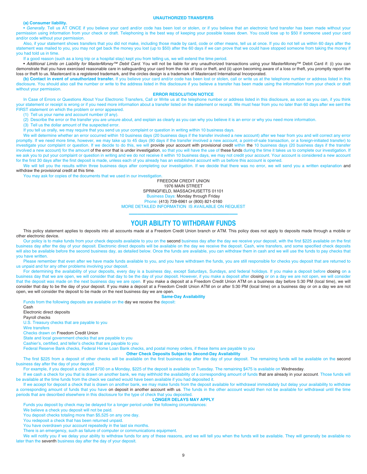#### **UNAUTHORIZED TRANSFERS**

## **(a) Consumer liability.**

• Generally. Tell us AT ONCE if you believe your card and/or code has been lost or stolen, or if you believe that an electronic fund transfer has been made without your permission using information from your check or draft. Telephoning is the best way of keeping your possible losses down. You could lose up to \$50 if someone used your card and/or code without your permission.

Also, if your statement shows transfers that you did not make, including those made by card, code or other means, tell us at once. If you do not tell us within 60 days after the statement was mailed to you, you may not get back the money you lost (up to \$50) after the 60 days if we can prove that we could have stopped someone from taking the money if you had told us in time.

If a good reason (such as a long trip or a hospital stay) kept you from telling us, we will extend the time period.

**•** Additional Limits on Liability for MasterMoney™ Debit Card. You will not be liable for any unauthorized transactions using your MasterMoney™ Debit Card if: (i) you can demonstrate that you have exercised reasonable care in safeguarding your card from the risk of loss or theft, and (ii) upon becoming aware of a loss or theft, you promptly report the loss or theft to us. Mastercard is a registered trademark, and the circles design is a trademark of Mastercard International Incorporated.

**(b) Contact in event of unauthorized transfer.** If you believe your card and/or code has been lost or stolen, call or write us at the telephone number or address listed in this disclosure. You should also call the number or write to the address listed in this disclosure if you believe a transfer has been made using the information from your check or draft without your permission.

## **ERROR RESOLUTION NOTICE**

In Case of Errors or Questions About Your Electronic Transfers, Call or Write us at the telephone number or address listed in this disclosure, as soon as you can, if you think your statement or receipt is wrong or if you need more information about a transfer listed on the statement or receipt. We must hear from you no later than 60 days after we sent the FIRST statement on which the problem or error appeared.

- (1) Tell us your name and account number (if any).
- (2) Describe the error or the transfer you are unsure about, and explain as clearly as you can why you believe it is an error or why you need more information.

(3) Tell us the dollar amount of the suspected error.

If you tell us orally, we may require that you send us your complaint or question in writing within 10 business days.

We will determine whether an error occurred within 10 business days (20 business days if the transfer involved a new account) after we hear from you and will correct any error promptly. If we need more time, however, we may take up to 45 days (90 days if the transfer involved a new account, a point-of-sale transaction, or a foreign-initiated transfer) to investigate your complaint or question. If we decide to do this, we will provide your account with provisional credit within the 10 business days (20 business days if the transfer involved a new account) for the amount of the error that is under investigation, so that you will have the use of these funds during the time it takes us to complete our investigation. If we ask you to put your complaint or question in writing and we do not receive it within 10 business days, we may not credit your account. Your account is considered a new account for the first 30 days after the first deposit is made, unless each of you already has an established account with us before this account is opened.

We will tell you the results within three business days after completing our investigation. If we decide that there was no error, we will send you a written explanation and withdraw the provisional credit at this time.

You may ask for copies of the documents that we used in our investigation.

FREEDOM CREDIT UNION 1976 MAIN STREET SPRINGFIELD, MASSACHUSETTS 01101 Business Days: Monday through Friday Phone: (413) 739-6961 or (800) 821-0160 MORE DETAILED INFORMATION IS AVAILABLE ON REQUEST

# ————————————— **YOUR ABILITY TO WITHDRAW FUNDS**

This policy statement applies to deposits into all accounts made at a Freedom Credit Union branch or ATM. This policy does not apply to deposits made through a mobile or other electronic device.

Our policy is to make funds from your check deposits available to you on the second business day after the day we receive your deposit, with the first \$225 available on the first business day after the day of your deposit. Electronic direct deposits will be available on the day we receive the deposit. Cash, wire transfers, and some specified check deposits will also be available before the second business day, as detailed below. Once the funds are available, you can withdraw them in cash and we will use the funds to pay checks that you have written.

Please remember that even after we have made funds available to you, and you have withdrawn the funds, you are still responsible for checks you deposit that are returned to us unpaid and for any other problems involving your deposit.

For determining the availability of your deposits, every day is a business day, except Saturdays, Sundays, and federal holidays. If you make a deposit before closing on a business day that we are open, we will consider that day to be the day of your deposit. However, if you make a deposit after closing or on a day we are not open, we will consider that the deposit was made on the next business day we are open. If you make a deposit at a Freedom Credit Union ATM on a business day before 5:30 PM (local time), we will consider that day to be the day of your deposit. If you make a deposit at a Freedom Credit Union ATM on or after 5:30 PM (local time) on a business day or on a day we are not open, we will consider the deposit to be made on the next business day we are open.

**Same-Day Availability**

Funds from the following deposits are available on the day we receive the deposit:

Cash Electronic direct deposits Payroll checks U.S. Treasury checks that are payable to you Wire transfers Checks drawn on Freedom Credit Union State and local government checks that are payable to you Cashier's, certified, and teller's checks that are payable to you

Federal Reserve Bank checks, Federal Home Loan Bank checks, and postal money orders, if these items are payable to you

**Other Check Deposits Subject to Second-Day Availability** 

The first \$225 from a deposit of other checks will be available on the first business day after the day of your deposit. The remaining funds will be available on the second business day after the day of your deposit.

For example, if you deposit a check of \$700 on a Monday, \$225 of the deposit is available on Tuesday. The remaining \$475 is available on Wednesday.

If we cash a check for you that is drawn on another bank, we may withhold the availability of a corresponding amount of funds that are already in your account. Those funds will be available at the time funds from the check we cashed would have been available if you had deposited it.

If we accept for deposit a check that is drawn on another bank, we may make funds from the deposit available for withdrawal immediately but delay your availability to withdraw a corresponding amount of funds that you have on deposit in another account with us. The funds in the other account would then not be available for withdrawal until the time periods that are described elsewhere in this disclosure for the type of check that you deposited.

## **LONGER DELAYS MAY APPLY**

Funds you deposit by check may be delayed for a longer period under the following circumstances:

We believe a check you deposit will not be paid.

You deposit checks totaling more than \$5,525 on any one day.

You redeposit a check that has been returned unpaid.

You have overdrawn your account repeatedly in the last six months.

There is an emergency, such as failure of computer or communications equipment.

We will notify you if we delay your ability to withdraw funds for any of these reasons, and we will tell you when the funds will be available. They will generally be available no later than the seventh business day after the day of your deposit.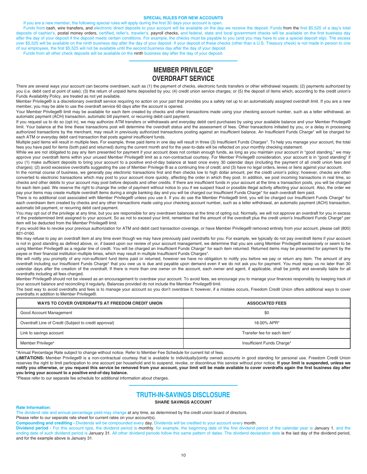#### **SPECIAL RULES FOR NEW ACCOUNTS**

If you are a new member, the following special rules will apply during the first 30 days your account is open.

Funds from cash, wire transfers, and electronic direct deposits to your account will be available on the day we receive the deposit. Funds from the first \$5,525 of a day's total deposits of cashier's, postal money orders, certified, teller's, traveler's, payroll checks, and federal, state and local government checks will be available on the first business day after the day of your deposit if the deposit meets certain conditions. For example, the checks must be payable to you (and you may have to use a special deposit slip). The excess over \$5,525 will be available on the ninth business day after the day of your deposit. If your deposit of these checks (other than a U.S. Treasury check) is not made in person to one of our employees, the first \$5,525 will not be available until the second business day after the day of your deposit.

Funds from all other check deposits will be available on the ninth business day after the day of your deposit.

# **MEMBER PRIVILEGE® OVERDRAFT SERVICE**

—————————————

There are several ways your account can become overdrawn, such as (1) the payment of checks, electronic funds transfers or other withdrawal requests; (2) payments authorized by you (i.e. debit card at point of sale); (3) the return of unpaid items deposited by you; (4) credit union service charges; or (5) the deposit of items which, according to the credit union's Funds Availability Policy, are treated as not yet available.

Member Privilege® is a discretionary overdraft service requiring no action on your part that provides you a safety net up to an automatically assigned overdraft limit. If you are a new member, you may be able to use the overdraft service 60 days after the account is opened.

Your Member Privilege® limit may be available for each item created by checks and other transactions made using your checking account number, such as a teller withdrawal, an automatic payment (ACH) transaction, automatic bill payment, or recurring debit card payment.

If you request us to do so (opt in), we may authorize ATM transfers or withdrawals and everyday debit card purchases by using your available balance and your Member Privilege® limit. Your balance at the time these transactions post will determine the overdraft status and the assessment of fees. Other transactions initiated by you, or a delay in processing authorized transactions by the merchant, may result in previously authorized transactions posting against an insufficient balance. An Insufficient Funds Charge\* will be charged for each ATM or everyday debit card transaction that posts against insufficient funds.

Multiple paid items will result in multiple fees. For example, three paid items in one day will result in three (3) Insufficient Funds Charges\*. To help you manage your account, the total fees you have paid for items (both paid and returned) during the current month and for the year-to-date will be reflected on your monthly checking statement.

While we are not obligated to pay any item presented for payment if your account does not contain enough funds, as long as you maintain your account in "good standing," we may approve your overdraft items within your unused Member Privilege® limit as a non-contractual courtesy. For Member Privilege® consideration, your account is in "good standing" if you (1) make sufficient deposits to bring your account to a positive end-of-day balance at least once every 30 calendar days (including the payment of all credit union fees and charges); (2) avoid excessive overdrafts suggesting the use of Member Privilege ® as a continuing line of credit; and (3) have no legal orders, levies or liens against your account.

In the normal course of business, we generally pay electronic transactions first and then checks low to high dollar amount, per the credit union's policy; however, checks are often converted to electronic transactions which may post to your account more quickly, affecting the order in which they post. In addition, we post incoming transactions in real time, so checks and other debits to your account may post before deposits and other credits. If there are insufficient funds in your account at the time a transaction posts, you will be charged for each item paid. We reserve the right to change the order of payment without notice to you if we suspect fraud or possible illegal activity affecting your account. Also, the order we pay your items may create multiple overdraft items during a single banking day and you will be charged our Insufficient Funds Charge\* for each overdraft item paid.

There is no additional cost associated with Member Privilege® unless you use it. If you do use the Member Privilege® limit, you will be charged our Insufficient Funds Charge\* for each overdrawn item created by checks and any other transactions made using your checking account number, such as a teller withdrawal, an automatic payment (ACH) transaction, automatic bill payment, or recurring debit card payment.

You may opt out of the privilege at any time, but you are responsible for any overdrawn balances at the time of opting out. Normally, we will not approve an overdraft for you in excess of the predetermined limit assigned to your account. So as not to exceed your limit, remember that the amount of the overdraft plus the credit union's Insufficient Funds Charge\* per item will be deducted from the Member Privilege® limit.

If you would like to revoke your previous authorization for ATM and debit card transaction coverage, or have Member Privilege® removed entirely from your account, please call (800) 821-0160.

We may refuse to pay an overdraft item at any time even though we may have previously paid overdrafts for you. For example, we typically do not pay overdraft items if your account is not in good standing as defined above, or, if based upon our review of your account management, we determine that you are using Member Privilege® excessively or seem to be using Member Privilege® as a regular line of credit. You will be charged an Insufficient Funds Charge\* for each item returned. Returned items may be presented for payment by the payee or their financial institution multiple times, which may result in multiple Insufficient Funds Charges\*.

We will notify you promptly of any non-sufficient fund items paid or returned, however we have no obligation to notify you before we pay or return any item. The amount of any overdraft including our Insufficient Funds Charge\* that you owe us is due and payable upon demand even if we do not ask you for payment. You must repay us no later than 30 calendar days after the creation of the overdraft. If there is more than one owner on the account, each owner and agent, if applicable, shall be jointly and severally liable for all overdrafts including all fees charged.

Member Privilege® should not be viewed as an encouragement to overdraw your account. To avoid fees, we encourage you to manage your finances responsibly by keeping track of your account balance and reconciling it regularly. Balances provided do not include the Member Privilege® limit.

The best way to avoid overdrafts and fees is to manage your account so you don't overdraw it; however, if a mistake occurs, Freedom Credit Union offers additional ways to cover overdrafts in addition to Member Privilege®.

| WAYS TO COVER OVERDRAFTS AT FREEDOM CREDIT UNION      | <b>ASSOCIATED FEES</b>      |
|-------------------------------------------------------|-----------------------------|
| Good Account Management                               | \$0                         |
| Overdraft Line of Credit (Subject to credit approval) | 18.00% APR*                 |
| Link to savings account                               | Transfer fee for each item* |
| Member Privilege <sup>®</sup>                         | Insufficient Funds Charge*  |

\*Annual Percentage Rate subject to change without notice. Refer to Member Fee Schedule for current list of fees.

LIMITATIONS: Member Privilege® is a non-contractual courtesy that is available to individually/jointly owned accounts in good standing for personal use. Freedom Credit Union reserves the right to limit participation to one account per household and to suspend, revoke, or discontinue this service without prior notice. **If your limit is suspended, unless we notify you otherwise, or you request this service be removed from your account, your limit will be made available to cover overdrafts again the first business day after you bring your account to a positive end-of-day balance.** 

\*Please refer to our separate fee schedule for additional information about charges.

# ————————————— **TRUTH-IN-SAVINGS DISCLOSURE**

## **SHARE SAVINGS ACCOUNT**

## **Rate Information:**

The dividend rate and annual percentage yield may change at any time, as determined by the credit union board of directors.

Please refer to our separate rate sheet for current rates on your account(s).

**Compounding and crediting -** Dividends will be compounded every day. Dividends will be credited to your account every month.

Dividend period - For this account type, the dividend period is monthly, for example, the beginning date of the first dividend period of the calendar year is January 1, and the ending date of such dividend period is January 31. All other dividend periods follow this same pattern of dates. The dividend declaration date is the last day of the dividend period, and for the example above is January 31.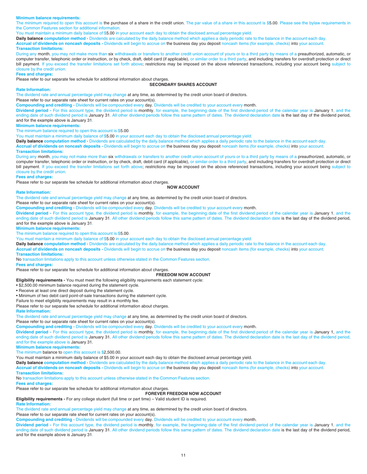## **Minimum balance requirements:**

The minimum required to open this account is the purchase of a share in the credit union. The par value of a share in this account is \$5.00. Please see the bylaw requirements in the Common Features section for additional information.

You must maintain a minimum daily balance of \$5.00 in your account each day to obtain the disclosed annual percentage yield.

**Daily balance computation method -** Dividends are calculated by the daily balance method which applies a daily periodic rate to the balance in the account each day.

**Accrual of dividends on noncash deposits -** Dividends will begin to accrue on the business day you deposit noncash items (for example, checks) into your account.

## **Transaction limitations:**

During any month, you may not make more than six withdrawals or transfers to another credit union account of yours or to a third party by means of a preauthorized, automatic, or computer transfer, telephonic order or instruction, or by check, draft, debit card (if applicable), or similar order to a third party, and including transfers for overdraft protection or direct bill payment. If you exceed the transfer limitations set forth above; restrictions may be imposed on the above referenced transactions, including your account being subject to closure by the credit union.

#### **Fees and charges:**

Please refer to our separate fee schedule for additional information about charges.

#### **SECONDARY SHARES ACCOUNT**

## **Rate Information:**

The dividend rate and annual percentage yield may change at any time, as determined by the credit union board of directors.

Please refer to our separate rate sheet for current rates on your account(s).

**Compounding and crediting -** Dividends will be compounded every day. Dividends will be credited to your account every month.

Dividend period - For this account type, the dividend period is monthly, for example, the beginning date of the first dividend period of the calendar year is January 1, and the ending date of such dividend period is January 31. All other dividend periods follow this same pattern of dates. The dividend declaration date is the last day of the dividend period, and for the example above is January 31.

#### **Minimum balance requirements:**

The minimum balance required to open this account is \$5.00.

You must maintain a minimum daily balance of \$5.00 in your account each day to obtain the disclosed annual percentage yield.

**Daily balance computation method -** Dividends are calculated by the daily balance method which applies a daily periodic rate to the balance in the account each day.

**Accrual of dividends on noncash deposits -** Dividends will begin to accrue on the business day you deposit noncash items (for example, checks) into your account.

## **Transaction limitations:**

During any month, you may not make more than six withdrawals or transfers to another credit union account of yours or to a third party by means of a preauthorized, automatic, or computer transfer, telephonic order or instruction, or by check, draft, debit card (if applicable), or similar order to a third party, and including transfers for overdraft protection or direct bill payment. If you exceed the transfer limitations set forth above; restrictions may be imposed on the above referenced transactions, including your account being subject to closure by the credit union.

#### **Fees and charges:**

Please refer to our separate fee schedule for additional information about charges.

**NOW ACCOUNT**

## **Rate Information:**

The dividend rate and annual percentage yield may change at any time, as determined by the credit union board of directors.

Please refer to our separate rate sheet for current rates on your account(s).

**Compounding and crediting -** Dividends will be compounded every day. Dividends will be credited to your account every month.

Dividend period - For this account type, the dividend period is monthly, for example, the beginning date of the first dividend period of the calendar year is January 1, and the ending date of such dividend period is January 31. All other dividend periods follow this same pattern of dates. The dividend declaration date is the last day of the dividend period, and for the example above is January 31.

**Minimum balance requirements:**

The minimum balance required to open this account is \$5.00.

You must maintain a minimum daily balance of \$5.00 in your account each day to obtain the disclosed annual percentage yield.

**Daily balance computation method -** Dividends are calculated by the daily balance method which applies a daily periodic rate to the balance in the account each day.

**Accrual of dividends on noncash deposits -** Dividends will begin to accrue on the business day you deposit noncash items (for example, checks) into your account. **Transaction limitations:**

No transaction limitations apply to this account unless otherwise stated in the Common Features section.

## **Fees and charges:**

Please refer to our separate fee schedule for additional information about charges.

**FREEDOM NOW ACCOUNT** 

## **Eligibility requirements -** You must meet the following eligibility requirements each statement cycle:

• \$2,500.00 minimum balance required during the statement cycle.

• Receive at least one direct deposit during the statement cycle.

• Minimum of two debit card point-of-sale transactions during the statement cycle.

Failure to meet eligibility requirements may result in a monthly fee.

Please refer to our separate fee schedule for additional information about charges.

#### **Rate Information:**

The dividend rate and annual percentage yield may change at any time, as determined by the credit union board of directors.

Please refer to our separate rate sheet for current rates on your account(s).

**Compounding and crediting -** Dividends will be compounded every day. Dividends will be credited to your account every month.

Dividend period - For this account type, the dividend period is monthly, for example, the beginning date of the first dividend period of the calendar year is January 1, and the ending date of such dividend period is January 31. All other dividend periods follow this same pattern of dates. The dividend declaration date is the last day of the dividend period, and for the example above is January 31.

**Minimum balance requirements:**

The minimum balance to open this account is \$2,500.00.

You must maintain a minimum daily balance of \$5.00 in your account each day to obtain the disclosed annual percentage yield.

**Daily balance computation method -** Dividends are calculated by the daily balance method which applies a daily periodic rate to the balance in the account each day.

**Accrual of dividends on noncash deposits -** Dividends will begin to accrue on the business day you deposit noncash items (for example, checks) into your account.

## **Transaction limitations:**

No transaction limitations apply to this account unless otherwise stated in the Common Features section.

**Fees and charges:** 

Please refer to our separate fee schedule for additional information about charges.

**FOREVER FREEDOM NOW ACCOUNT** 

**Eligibility requirements -** For any college student (full time or part time) – Valid student ID is required.

## **Rate Information:**

The dividend rate and annual percentage yield may change at any time, as determined by the credit union board of directors.

Please refer to our separate rate sheet for current rates on your account(s).

**Compounding and crediting -** Dividends will be compounded every day. Dividends will be credited to your account every month.

**Dividend period -** For this account type, the dividend period is monthly, for example, the beginning date of the first dividend period of the calendar year is January 1, and the ending date of such dividend period is January 31. All other dividend periods follow this same pattern of dates. The dividend declaration date is the last day of the dividend period, and for the example above is January 31.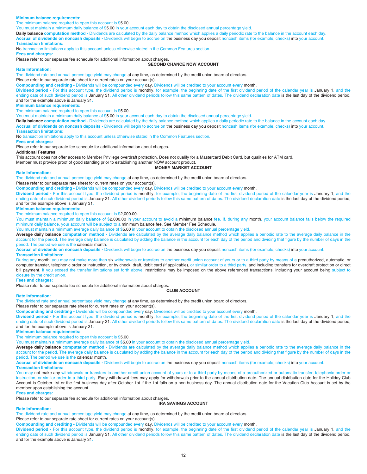## **Minimum balance requirements:**

The minimum balance required to open this account is \$5.00.

You must maintain a minimum daily balance of \$5.00 in your account each day to obtain the disclosed annual percentage yield.

**Daily balance computation method -** Dividends are calculated by the daily balance method which applies a daily periodic rate to the balance in the account each day. **Accrual of dividends on noncash deposits -** Dividends will begin to accrue on the business day you deposit noncash items (for example, checks) into your account. **Transaction limitations:**

No transaction limitations apply to this account unless otherwise stated in the Common Features section.

## **Fees and charges:**

Please refer to our separate fee schedule for additional information about charges.

## **SECOND CHANCE NOW ACCOUNT**

#### **Rate Information:**

The dividend rate and annual percentage yield may change at any time, as determined by the credit union board of directors.

Please refer to our separate rate sheet for current rates on your account(s).

**Compounding and crediting -** Dividends will be compounded every day. Dividends will be credited to your account every month.

Dividend period - For this account type, the dividend period is monthly, for example, the beginning date of the first dividend period of the calendar year is January 1, and the ending date of such dividend period is January 31. All other dividend periods follow this same pattern of dates. The dividend declaration date is the last day of the dividend period, and for the example above is January 31.

#### **Minimum balance requirements:**

The minimum balance required to open this account is \$5.00.

You must maintain a minimum daily balance of \$5.00 in your account each day to obtain the disclosed annual percentage yield.

**Daily balance computation method -** Dividends are calculated by the daily balance method which applies a daily periodic rate to the balance in the account each day. **Accrual of dividends on noncash deposits -** Dividends will begin to accrue on the business day you deposit noncash items (for example, checks) into your account.

## **Transaction limitations:**

No transaction limitations apply to this account unless otherwise stated in the Common Features section.

#### **Fees and charges:**

Please refer to our separate fee schedule for additional information about charges.

**Additional Features:** 

This account does not offer access to Member Privilege overdraft protection. Does not qualify for a Mastercard Debit Card, but qualifies for ATM card.

Member must provide proof of good standing prior to establishing another NOW account product.

## **MONEY MARKET ACCOUNT**

#### **Rate Information:**

The dividend rate and annual percentage yield may change at any time, as determined by the credit union board of directors.

Please refer to our separate rate sheet for current rates on your account(s).

**Compounding and crediting -** Dividends will be compounded every day. Dividends will be credited to your account every month.

Dividend period - For this account type, the dividend period is monthly, for example, the beginning date of the first dividend period of the calendar year is January 1, and the ending date of such dividend period is January 31. All other dividend periods follow this same pattern of dates. The dividend declaration date is the last day of the dividend period, and for the example above is January 31.

## **Minimum balance requirements:**

The minimum balance required to open this account is \$2,000.00.

You must maintain a minimum daily balance of \$2,000.00 in your account to avoid a minimum balance fee. If, during any month, your account balance falls below the required minimum daily balance, your account will be subject to a minimum balance fee. See Member Fee Schedule.

You must maintain a minimum average daily balance of \$5.00 in your account to obtain the disclosed annual percentage yield.

**Average daily balance computation method -** Dividends are calculated by the average daily balance method which applies a periodic rate to the average daily balance in the account for the period. The average daily balance is calculated by adding the balance in the account for each day of the period and dividing that figure by the number of days in the period. The period we use is the calendar month.

**Accrual of dividends on noncash deposits -** Dividends will begin to accrue on the business day you deposit noncash items (for example, checks) into your account. **Transaction limitations:**

During any month, you may not make more than six withdrawals or transfers to another credit union account of yours or to a third party by means of a preauthorized, automatic, or computer transfer, telephonic order or instruction, or by check, draft, debit card (if applicable), or similar order to a third party, and including transfers for overdraft protection or direct bill payment. If you exceed the transfer limitations set forth above; restrictions may be imposed on the above referenced transactions, including your account being subject to closure by the credit union.

## **Fees and charges:**

Please refer to our separate fee schedule for additional information about charges.

## **CLUB ACCOUNT**

## **Rate Information:**

The dividend rate and annual percentage yield may change at any time, as determined by the credit union board of directors.

Please refer to our separate rate sheet for current rates on your account(s).

**Compounding and crediting -** Dividends will be compounded every day. Dividends will be credited to your account every month.

Dividend period - For this account type, the dividend period is monthly, for example, the beginning date of the first dividend period of the calendar year is January 1, and the ending date of such dividend period is January 31. All other dividend periods follow this same pattern of dates. The dividend declaration date is the last day of the dividend period, and for the example above is January 31.

**Minimum balance requirements:**

The minimum balance required to open this account is \$5.00.

You must maintain a minimum average daily balance of \$5.00 in your account to obtain the disclosed annual percentage yield.

**Average daily balance computation method -** Dividends are calculated by the average daily balance method which applies a periodic rate to the average daily balance in the account for the period. The average daily balance is calculated by adding the balance in the account for each day of the period and dividing that figure by the number of days in the period. The period we use is the calendar month.

**Accrual of dividends on noncash deposits -** Dividends will begin to accrue on the business day you deposit noncash items (for example, checks) into your account.

## **Transaction limitations:**

You may not make any withdrawals or transfers to another credit union account of yours or to a third party by means of a preauthorized or automatic transfer, telephonic order or instruction, or similar order to a third party. Early withdrawal fees may apply for withdrawals prior to the annual distribution date. The annual distribution date for the Holiday Club Account is October 1st or the first business day after October 1st if the 1st falls on a non-business day. The annual distribution date for the Vacation Club Account is set by the member upon establishing the account.

#### **Fees and charges:**

Please refer to our separate fee schedule for additional information about charges.

#### **IRA SAVINGS ACCOUNT**

## **Rate Information:**

The dividend rate and annual percentage yield may change at any time, as determined by the credit union board of directors.

Please refer to our separate rate sheet for current rates on your account(s).

**Compounding and crediting -** Dividends will be compounded every day. Dividends will be credited to your account every month.

Dividend period - For this account type, the dividend period is monthly, for example, the beginning date of the first dividend period of the calendar year is January 1, and the ending date of such dividend period is January 31. All other dividend periods follow this same pattern of dates. The dividend declaration date is the last day of the dividend period, and for the example above is January 31.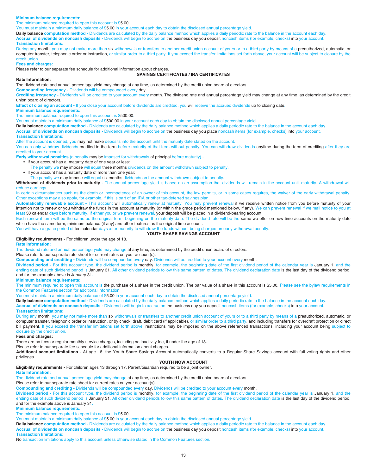## **Minimum balance requirements:**

The minimum balance required to open this account is \$5.00.

You must maintain a minimum daily balance of \$5.00 in your account each day to obtain the disclosed annual percentage yield.

**Daily balance computation method -** Dividends are calculated by the daily balance method which applies a daily periodic rate to the balance in the account each day. **Accrual of dividends on noncash deposits -** Dividends will begin to accrue on the business day you deposit noncash items (for example, checks) into your account. **Transaction limitations:**

During any month, you may not make more than six withdrawals or transfers to another credit union account of yours or to a third party by means of a preauthorized, automatic, or computer transfer, telephonic order or instruction, or similar order to a third party. If you exceed the transfer limitations set forth above, your account will be subject to closure by the credit union.

## **Fees and charges:**

Please refer to our separate fee schedule for additional information about charges.

#### **SAVINGS CERTIFICATES / IRA CERTIFICATES**

#### **Rate Information:**

The dividend rate and annual percentage yield may change at any time, as determined by the credit union board of directors.

**Compounding frequency -** Dividends will be compounded every day.

Crediting frequency - Dividends will be credited to your account every month. The dividend rate and annual percentage yield may change at any time, as determined by the credit union board of directors.

**Effect of closing an account -** If you close your account before dividends are credited, you will receive the accrued dividends up to closing date.

## **Minimum balance requirements:**

The minimum balance required to open this account is \$500.00.

You must maintain a minimum daily balance of \$500.00 in your account each day to obtain the disclosed annual percentage yield.

**Daily balance computation method -** Dividends are calculated by the daily balance method which applies a daily periodic rate to the balance in the account each day.

**Accrual of dividends on noncash deposits -** Dividends will begin to accrue on the business day you place noncash items (for example, checks) into your account.

### **Transaction limitations:**

After the account is opened, you may not make deposits into the account until the maturity date stated on the account.

You can only withdraw dividends credited in the term before maturity of that term without penalty. You can withdraw dividends anytime during the term of crediting after they are credited to your account.

**Early withdrawal penalties** (a penalty may be imposed for withdrawals of principal before maturity) -

- If your account has a maturity date of one year or less:
- The penalty we may impose will equal three months dividends on the amount withdrawn subject to penalty.
- If your account has a maturity date of more than one year:

The penalty we may impose will equal six months dividends on the amount withdrawn subject to penalty.

Withdrawal of dividends prior to maturity - The annual percentage yield is based on an assumption that dividends will remain in the account until maturity. A withdrawal will reduce earnings.

In certain circumstances such as the death or incompetence of an owner of this account, the law permits, or in some cases requires, the waiver of the early withdrawal penalty. Other exceptions may also apply, for example, if this is part of an IRA or other tax-deferred savings plan.

Automatically renewable account - This account will automatically renew at maturity. You may prevent renewal if we receive written notice from you before maturity of your intention not to renew or you withdraw the funds in the account at maturity (or within the grace period mentioned below, if any). We can prevent renewal if we mail notice to you at least 30 calendar days before maturity. If either you or we prevent renewal, your deposit will be placed in a dividend-bearing account.

Each renewal term will be the same as the original term, beginning on the maturity date. The dividend rate will be the same we offer on new time accounts on the maturity date which have the same term, minimum balance (if any) and other features as the original time account.

You will have a grace period of ten calendar days after maturity to withdraw the funds without being charged an early withdrawal penalty.

## **YOUTH SHARE SAVINGS ACCOUNT**

**Eligibility requirements -** For children under the age of 18.

## **Rate Information:**

The dividend rate and annual percentage yield may change at any time, as determined by the credit union board of directors.

Please refer to our separate rate sheet for current rates on your account(s).

**Compounding and crediting -** Dividends will be compounded every day. Dividends will be credited to your account every month.

**Dividend period -** For this account type, the dividend period is monthly, for example, the beginning date of the first dividend period of the calendar year is January 1, and the ending date of such dividend period is January 31. All other dividend periods follow this same pattern of dates. The dividend declaration date is the last day of the dividend period, and for the example above is January 31.

**Minimum balance requirements:**

The minimum required to open this account is the purchase of a share in the credit union. The par value of a share in this account is \$5.00. Please see the bylaw requirements in the Common Features section for additional information.

You must maintain a minimum daily balance of \$5.00 in your account each day to obtain the disclosed annual percentage yield.

**Daily balance computation method -** Dividends are calculated by the daily balance method which applies a daily periodic rate to the balance in the account each day.

**Accrual of dividends on noncash deposits -** Dividends will begin to accrue on the business day you deposit noncash items (for example, checks) into your account. **Transaction limitations:**

During any month, you may not make more than six withdrawals or transfers to another credit union account of yours or to a third party by means of a preauthorized, automatic, or computer transfer, telephonic order or instruction, or by check, draft, debit card (if applicable), or similar order to a third party, and including transfers for overdraft protection or direct bill payment. If you exceed the transfer limitations set forth above; restrictions may be imposed on the above referenced transactions, including your account being subject to closure by the credit union.

## **Fees and charges:**

There are no fees or regular monthly service charges, including no inactivity fee, if under the age of 18.

Please refer to our separate fee schedule for additional information about charges.

**Additional account limitations -** At age 18, the Youth Share Savings Account automatically converts to a Regular Share Savings account with full voting rights and other privileges.

## **YOUTH NOW ACCOUNT**

**Eligibility requirements -** For children ages 13 through 17. Parent/Guardian required to be a joint owner.

## **Rate Information:**

The dividend rate and annual percentage yield may change at any time, as determined by the credit union board of directors.

Please refer to our separate rate sheet for current rates on your account(s).

**Compounding and crediting -** Dividends will be compounded every day. Dividends will be credited to your account every month.

Dividend period - For this account type, the dividend period is monthly, for example, the beginning date of the first dividend period of the calendar year is January 1, and the ending date of such dividend period is January 31. All other dividend periods follow this same pattern of dates. The dividend declaration date is the last day of the dividend period, and for the example above is January 31.

**Minimum balance requirements:**

The minimum balance required to open this account is \$5.00.

You must maintain a minimum daily balance of \$5.00 in your account each day to obtain the disclosed annual percentage yield.

**Daily balance computation method -** Dividends are calculated by the daily balance method which applies a daily periodic rate to the balance in the account each day. **Accrual of dividends on noncash deposits -** Dividends will begin to accrue on the business day you deposit noncash items (for example, checks) into your account. **Transaction limitations:**

No transaction limitations apply to this account unless otherwise stated in the Common Features section.